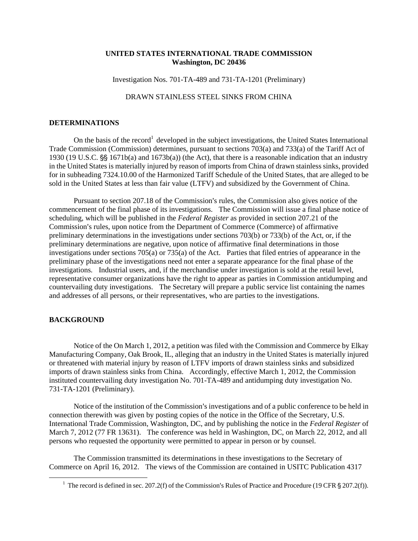## **UNITED STATES INTERNATIONAL TRADE COMMISSION Washington, DC 20436**

Investigation Nos. 701-TA-489 and 731-TA-1201 (Preliminary)

## DRAWN STAINLESS STEEL SINKS FROM CHINA

## **DETERMINATIONS**

On the basis of the record<sup>1</sup> developed in the subject investigations, the United States International Trade Commission (Commission) determines, pursuant to sections 703(a) and 733(a) of the Tariff Act of 1930 (19 U.S.C.  $\S$  1671b(a) and 1673b(a)) (the Act), that there is a reasonable indication that an industry in the United States is materially injured by reason of imports from China of drawn stainless sinks, provided for in subheading 7324.10.00 of the Harmonized Tariff Schedule of the United States, that are alleged to be sold in the United States at less than fair value (LTFV) and subsidized by the Government of China.

Pursuant to section 207.18 of the Commission's rules, the Commission also gives notice of the commencement of the final phase of its investigations. The Commission will issue a final phase notice of scheduling, which will be published in the *Federal Register* as provided in section 207.21 of the Commission's rules, upon notice from the Department of Commerce (Commerce) of affirmative preliminary determinations in the investigations under sections 703(b) or 733(b) of the Act, or, if the preliminary determinations are negative, upon notice of affirmative final determinations in those investigations under sections  $705(a)$  or  $735(a)$  of the Act. Parties that filed entries of appearance in the preliminary phase of the investigations need not enter a separate appearance for the final phase of the investigations. Industrial users, and, if the merchandise under investigation is sold at the retail level, representative consumer organizations have the right to appear as parties in Commission antidumping and countervailing duty investigations. The Secretary will prepare a public service list containing the names and addresses of all persons, or their representatives, who are parties to the investigations.

## **BACKGROUND**

 $\overline{a}$ 

Notice of the On March 1, 2012, a petition was filed with the Commission and Commerce by Elkay Manufacturing Company, Oak Brook, IL, alleging that an industry in the United States is materially injured or threatened with material injury by reason of LTFV imports of drawn stainless sinks and subsidized imports of drawn stainless sinks from China. Accordingly, effective March 1, 2012, the Commission instituted countervailing duty investigation No. 701-TA-489 and antidumping duty investigation No. 731-TA-1201 (Preliminary).

Notice of the institution of the Commission's investigations and of a public conference to be held in connection therewith was given by posting copies of the notice in the Office of the Secretary, U.S. International Trade Commission, Washington, DC, and by publishing the notice in the *Federal Register* of March 7, 2012 (77 FR 13631). The conference was held in Washington, DC, on March 22, 2012, and all persons who requested the opportunity were permitted to appear in person or by counsel.

The Commission transmitted its determinations in these investigations to the Secretary of Commerce on April 16, 2012. The views of the Commission are contained in USITC Publication 4317

<sup>&</sup>lt;sup>1</sup> The record is defined in sec. 207.2(f) of the Commission's Rules of Practice and Procedure (19 CFR  $\S 207.2(f)$ ).